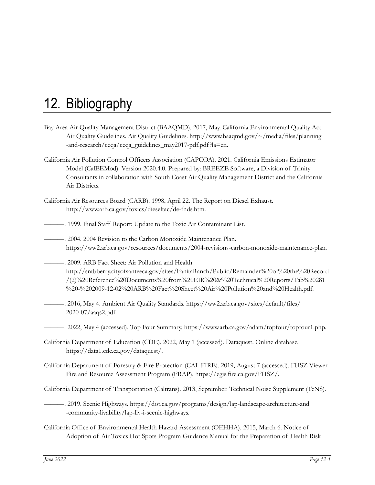- Bay Area Air Quality Management District (BAAQMD). 2017, May. California Environmental Quality Act Air Quality Guidelines. Air Quality Guidelines. http://www.baaqmd.gov/~/media/files/planning -and-research/ceqa/ceqa\_guidelines\_may2017-pdf.pdf?la=en.
- California Air Pollution Control Officers Association (CAPCOA). 2021. California Emissions Estimator Model (CalEEMod). Version 2020.4.0. Prepared by: BREEZE Software, a Division of Trinity Consultants in collaboration with South Coast Air Quality Management District and the California Air Districts.
- California Air Resources Board (CARB). 1998, April 22. The Report on Diesel Exhaust. http://www.arb.ca.gov/toxics/dieseltac/de-fnds.htm.

———. 1999. Final Staff Report: Update to the Toxic Air Contaminant List.

- ———. 2004. 2004 Revision to the Carbon Monoxide Maintenance Plan. https://ww2.arb.ca.gov/resources/documents/2004-revisions-carbon-monoxide-maintenance-plan.
- ———. 2009. ARB Fact Sheet: Air Pollution and Health. http://sntbberry.cityofsanteeca.gov/sites/FanitaRanch/Public/Remainder%20of%20the%20Record /(2)%20Reference%20Documents%20from%20EIR%20&%20Technical%20Reports/Tab%20281 %20-%202009-12-02%20ARB%20Fact%20Sheet%20Air%20Pollution%20and%20Health.pdf.
- ———. 2016, May 4. Ambient Air Quality Standards. https://ww2.arb.ca.gov/sites/default/files/ 2020-07/aaqs2.pdf.
	- ———. 2022, May 4 (accessed). Top Four Summary. https://www.arb.ca.gov/adam/topfour/topfour1.php.
- California Department of Education (CDE). 2022, May 1 (accessed). Dataquest. Online database. https://data1.cde.ca.gov/dataquest/.
- California Department of Forestry & Fire Protection (CAL FIRE). 2019, August 7 (accessed). FHSZ Viewer. Fire and Resource Assessment Program (FRAP). [https://egis.fire.ca.gov/FHSZ/.](https://egis.fire.ca.gov/FHSZ/)
- California Department of Transportation (Caltrans). 2013, September. Technical Noise Supplement (TeNS)*.*
- ———. 2019. Scenic Highways. https://dot.ca.gov/programs/design/lap-landscape-architecture-and -community-livability/lap-liv-i-scenic-highways.
- California Office of Environmental Health Hazard Assessment (OEHHA). 2015, March 6. Notice of Adoption of Air Toxics Hot Spots Program Guidance Manual for the Preparation of Health Risk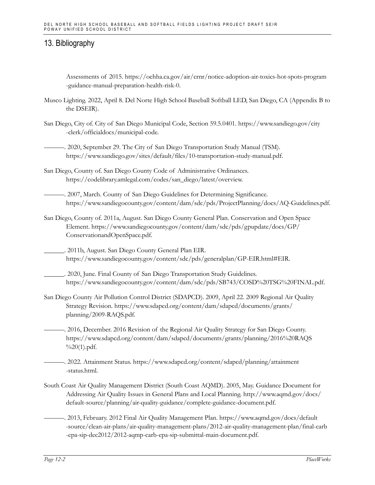Assessments of 2015. https://oehha.ca.gov/air/crnr/notice-adoption-air-toxics-hot-spots-program -guidance-manual-preparation-health-risk-0.

- Musco Lighting. 2022, April 8. Del Norte High School Baseball Softball LED, San Diego, CA (Appendix B to the DSEIR).
- San Diego, City of. City of San Diego Municipal Code, Section 59.5.0401. https://www.sandiego.gov/city -clerk/officialdocs/municipal-code.

-. 2020, September 29. The City of San Diego Transportation Study Manual (TSM). https://www.sandiego.gov/sites/default/files/10-transportation-study-manual.pdf.

- San Diego, County of. San Diego County Code of Administrative Ordinances. https://codelibrary.amlegal.com/codes/san\_diego/latest/overview.
- ———. 2007, March. County of San Diego Guidelines for Determining Significance. https://www.sandiegocounty.gov/content/dam/sdc/pds/ProjectPlanning/docs/AQ-Guidelines.pdf.
- San Diego, County of. 2011a, August. San Diego County General Plan. Conservation and Open Space Element. https://www.sandiegocounty.gov/content/dam/sdc/pds/gpupdate/docs/GP/ ConservationandOpenSpace.pdf.

\_\_\_\_\_\_. 2011b, August. San Diego County General Plan EIR. https://www.sandiegocounty.gov/content/sdc/pds/generalplan/GP-EIR.html#EIR.

- \_\_\_\_\_\_. 2020, June. Final County of San Diego Transportation Study Guidelines. https://www.sandiegocounty.gov/content/dam/sdc/pds/SB743/COSD%20TSG%20FINAL.pdf.
- San Diego County Air Pollution Control District (SDAPCD). 2009, April 22. 2009 Regional Air Quality Strategy Revision. https://www.sdapcd.org/content/dam/sdapcd/documents/grants/ planning/2009-RAQS.pdf.

———. 2016, December. 2016 Revision of the Regional Air Quality Strategy for San Diego County. https://www.sdapcd.org/content/dam/sdapcd/documents/grants/planning/2016%20RAQS %20(1).pdf.

———. 2022. Attainment Status. https://www.sdapcd.org/content/sdapcd/planning/attainment -status.html.

- South Coast Air Quality Management District (South Coast AQMD). 2005, May. Guidance Document for Addressing Air Quality Issues in General Plans and Local Planning. http://www.aqmd.gov/docs/ default-source/planning/air-quality-guidance/complete-guidance-document.pdf.
	- ———. 2013, February. 2012 Final Air Quality Management Plan. https://www.aqmd.gov/docs/default -source/clean-air-plans/air-quality-management-plans/2012-air-quality-management-plan/final-carb -epa-sip-dec2012/2012-aqmp-carb-epa-sip-submittal-main-document.pdf.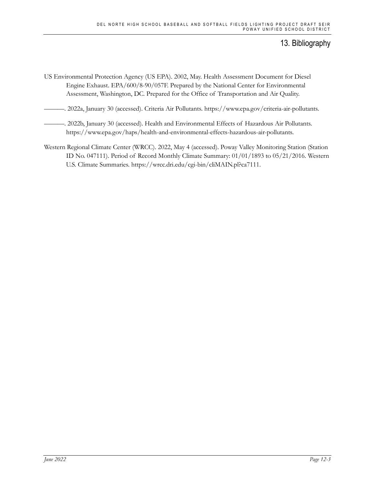- US Environmental Protection Agency (US EPA). 2002, May. Health Assessment Document for Diesel Engine Exhaust. EPA/600/8-90/057F. Prepared by the National Center for Environmental Assessment, Washington, DC. Prepared for the Office of Transportation and Air Quality.
- ———. 2022a, January 30 (accessed). Criteria Air Pollutants. https://www.epa.gov/criteria-air-pollutants.
- ———. 2022b, January 30 (accessed). Health and Environmental Effects of Hazardous Air Pollutants. https://www.epa.gov/haps/health-and-environmental-effects-hazardous-air-pollutants.
- Western Regional Climate Center (WRCC). 2022, May 4 (accessed). Poway Valley Monitoring Station (Station ID No. 047111). Period of Record Monthly Climate Summary: 01/01/1893 to 05/21/2016. Western U.S. Climate Summaries. https://wrcc.dri.edu/cgi-bin/cliMAIN.pl?ca7111.